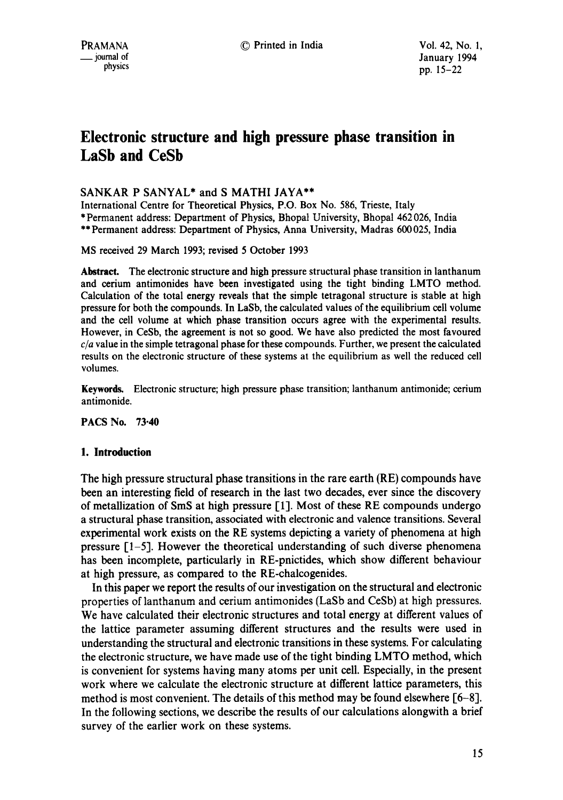# **Electronic structure and high pressure phase transition in LaSb and CeSb**

# SANKAR P SANYAL\* and S MATHI JAYA\*\*

International Centre for Theoretical Physics, P.O. Box No. 586, Trieste, Italy \* Permanent address: Department of Physics, Bhopal University, Bhopal 462 026, India \*\* Permanent address: Department of Physics, Anna University, Madras 600025, India

MS received 29 March 1993; revised 5 October 1993

**Abstract.** The electronic structure and high pressure structural phase transition in lanthanum **and** cerium antimonides have been investigated using the tight binding LMTO method. Calculation of the total energy reveals that the simple tetragonal structure is stable at high pressure for both the compounds. In LaSb, the calculated values of the equilibrium cell volume and the cell volume at which phase transition occurs agree with the experimental results. However, in CeSb, the agreement is not so good. We have also predicted the most favoured *c/a* value in the simple tetragonal phase for these compounds. Further, we present the calculated results on the electronic structure of these systems at the equilibrium as well the reduced cell volumes.

Keywords. Electronic structure; high pressure phase transition; lanthanum antimonide; cerium antimonide.

PACS No. 73.40

# **1. Introduction**

The high pressure structural phase transitions in the rare earth (RE) compounds have been an interesting field of research in the last two decades, ever since the discovery of metallization of SmS at high pressure [1]. Most of these RE compounds undergo a structural phase transition, associated with electronic and valence transitions. Several experimental work exists on the RE systems depicting a variety of phenomena at high pressure  $[1-5]$ . However the theoretical understanding of such diverse phenomena has been incomplete, particularly in RE-pnictides, which show different behaviour at high pressure, as compared to the RE-chalcogenides.

In this paper we report the results of our investigation on the structural and electronic properties of lanthanum and cerium antimonides (LaSb and CeSb) at high pressures. We have calculated their electronic structures and total energy at different values of the lattice parameter assuming different structures and the results were used in understanding the structural and electronic transitions in these systems. For calculating the electronic structure, we have made use of the tight binding LMTO method, which is convenient for systems having many atoms per unit cell. Especially, in the present work where we calculate the electronic structure at different lattice parameters, this method is most convenient. The details of this method may be found elsewhere  $[6-8]$ . In the following sections, we describe the results of our calculations alongwith a brief survey of the earlier work on these systems.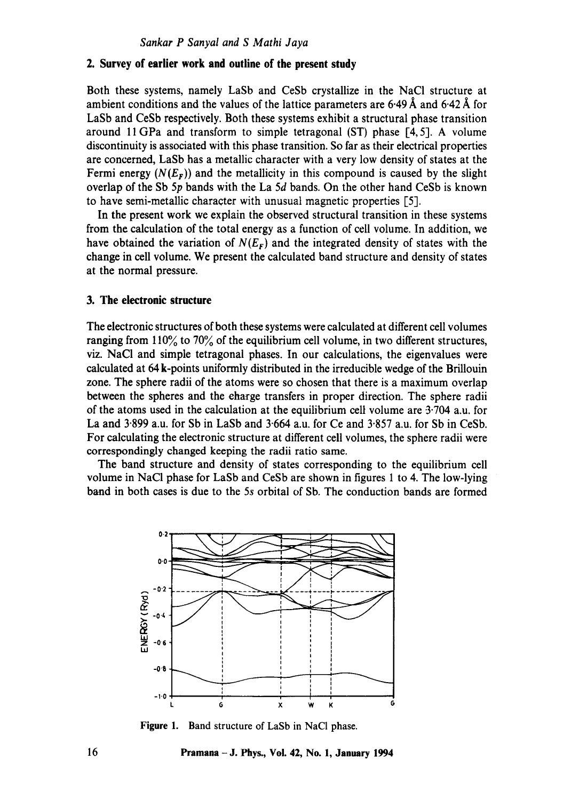# **2. Survey of earlier work and outline of the present study**

Both these systems, namely LaSb and CeSb crystallize in the NaCI structure at ambient conditions and the values of the lattice parameters are 6.49 Å and 6.42 Å for LaSb and CeSb respectively. Both these systems exhibit a structural phase transition around 11 GPa and transform to simple tetragonal  $(ST)$  phase  $[4, 5]$ . A volume discontinuity is associated with this phase transition. So far as their electrical properties are concerned, LaSb has a metallic character with a very low density of states at the Fermi energy  $(N(E<sub>F</sub>))$  and the metallicity in this compound is caused by the slight overlap of the Sb 5p bands with the La 5d bands. On the other hand CeSb is known to have semi-metallic character with unusual magnetic properties [5].

In the present work we explain the observed structural transition in these systems from the calculation of the total energy as a function of cell volume. In addition, we have obtained the variation of  $N(E_F)$  and the integrated density of states with the change in cell volume. We present the calculated band structure and density of states at the normal pressure.

## **3. The electronic structure**

The electronic structures of both these systems were calculated at different cell volumes ranging from  $110\%$  to  $70\%$  of the equilibrium cell volume, in two different structures, viz. NaCI and simple tetragonal phases. In our calculations, the eigenvalues were calculated at 64 k-points uniformly distributed in the irreducible wedge of the Brillouin zone. The sphere radii of the atoms were so chosen that there is a maximum overlap between the spheres and the charge transfers in proper direction. The sphere radii of the atoms used in the calculation at the equilibrium cell volume are  $3.704$  a.u. for La and  $3.899$  a.u. for Sb in LaSb and  $3.664$  a.u. for Ce and  $3.857$  a.u. for Sb in CeSb. For calculating the electronic structure at different cell volumes, the sphere radii were correspondingly changed keeping the radii ratio same.

The band structure and density of states corresponding to the equilibrium cell volume in NaCI phase for LaSb and CeSb are shown in figures 1 to 4. The low-lying band in both cases is due to the 5s orbital of Sb. The conduction bands are formed



**Figure** 1. Band structure of LaSb in NaC1 phase.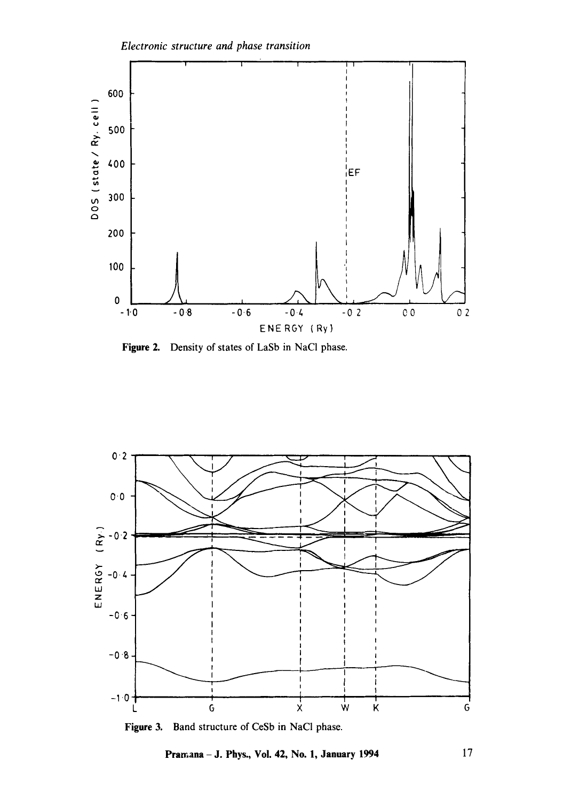



**Figure 2.**  Density of states of LaSb in NaCI phase.



Figure 3. Band structure of CeSb in NaCI phase.

**Pramana - J. Phys., Vol. 42, No. 1, January 1994** 17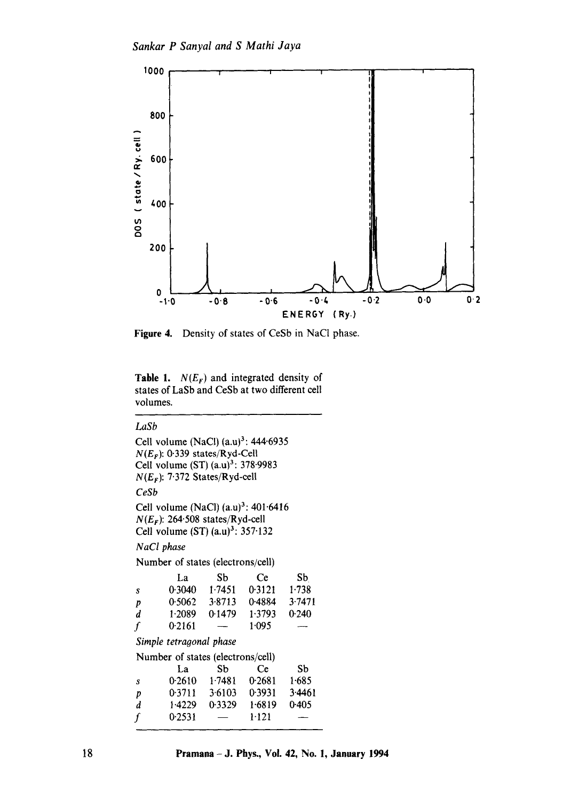

**Figure 4.**  Density of states of CeSb in NaCI phase.

**Table 1.**  $N(E_F)$  and integrated density of states of LaSb and CeSb at two different cell volumes.

## *LaSb*

Cell volume (NaCl)  $(a.u)^3$ : 444.6935  $N(E_F)$ : 0.339 states/Ryd-Cell Cell volume (ST)  $(a.u)^3$ : 378.9983 *N(Er):* 7.372 States/Ryd-cell *CeSb*  Cell volume (NaCl)  $(a.u)^3$ : 401.6416  $N(E_F)$ : 264.508 states/Ryd-cell Cell volume  $(ST)$   $(a.u)^3$ : 357.132 *NaCl phase*  Number of states (electrons/cell) La Sb Ce Sb s 0.3040 1.7451 0.3121 1.738 p 0.5062 3.8713 0.4884 3.7471 d 1.2089 0.1479 1.3793 0.240<br>f 0.2161 - 1.095  $f = 0.2161 -$ *Simple tetragonal phase*  Number of states (electrons/cell) La Sb Ce Sb s 0.2610 1.7481 0.2681 1.685 p 0-3711 3.6103 0-3931 3.4461 d 1.4229 0.3329 1.6819 0.405  $f = 0.2531 - -1.121$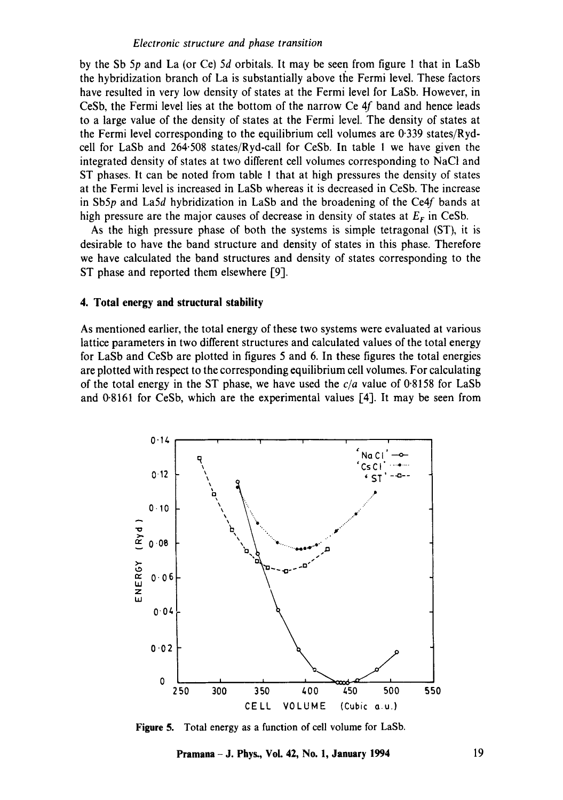#### *Electronic structure and phase transition*

by the Sb 5p and La (or Ce) 5d orbitals. It may be seen from figure 1 that in LaSb the hybridization branch of La is substantially above the Fermi level. These factors have resulted in very low density of states at the Fermi level for LaSb. However, in CeSb, the Fermi level lies at the bottom of the narrow Ce 4f band and hence leads to a large value of the density of states at the Fermi level. The density of states at the Fermi level corresponding to the equilibrium cell volumes are 0.339 states/Rydcell for LaSb and 264.508 states/Ryd-call for CeSb. In table 1 we have given the integrated density of states at two different cell volumes corresponding to NaCI and ST phases. It can be noted from table ! that at high pressures the density of states at the Fermi level is increased in LaSb whereas it is decreased in CeSb. The increase in Sb5p and La5d hybridization in LaSb and the broadening of the Ce4f bands at high pressure are the major causes of decrease in density of states at  $E_F$  in CeSb.

As the high pressure phase of both the systems is simple tetragonal (ST), it is desirable to have the band structure and density of states in this phase. Therefore we have calculated the band structures and density of states corresponding to the ST phase and reported them elsewhere [9].

## **4. Total energy and structural stability**

As mentioned earlier, the total energy of these two systems were evaluated at various lattice parameters in two different structures and calculated values of the total energy for LaSb and CeSb are plotted in figures 5 and 6. In these figures the total energies are plotted with respect to the corresponding equilibrium cell volumes. For calculating of the total energy in the ST phase, we have used the *c/a* value of 0.8158 for LaSb and  $0.8161$  for CeSb, which are the experimental values [4]. It may be seen from



**Figure 5.**  Total energy as a function of cell volume for LaSb.

**Pramana – J. Phys., Vol. 42, No. 1, January 1994** 19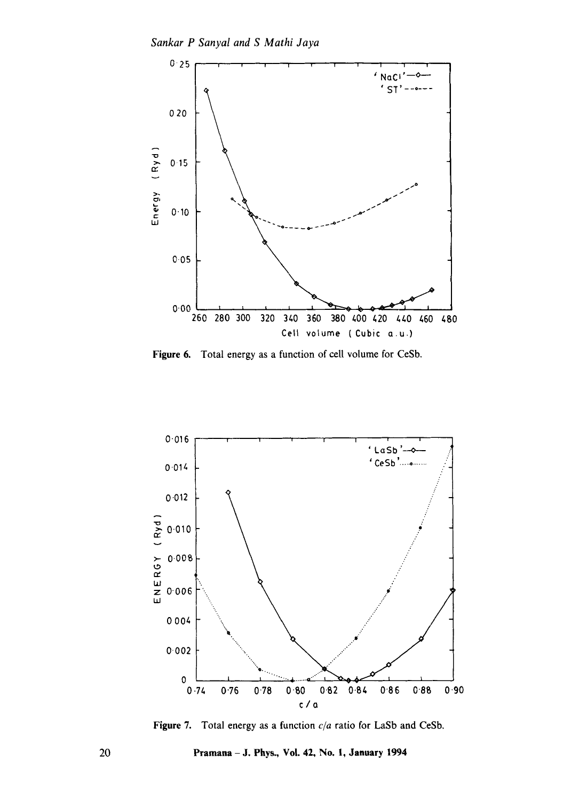*Sankar P Sanyal and S Mathi Jaya* 



Figure 6. Total energy as a function of cell volume for CeSb.



Figure 7. Total energy as a function *c/a* ratio for LaSb and CeSb.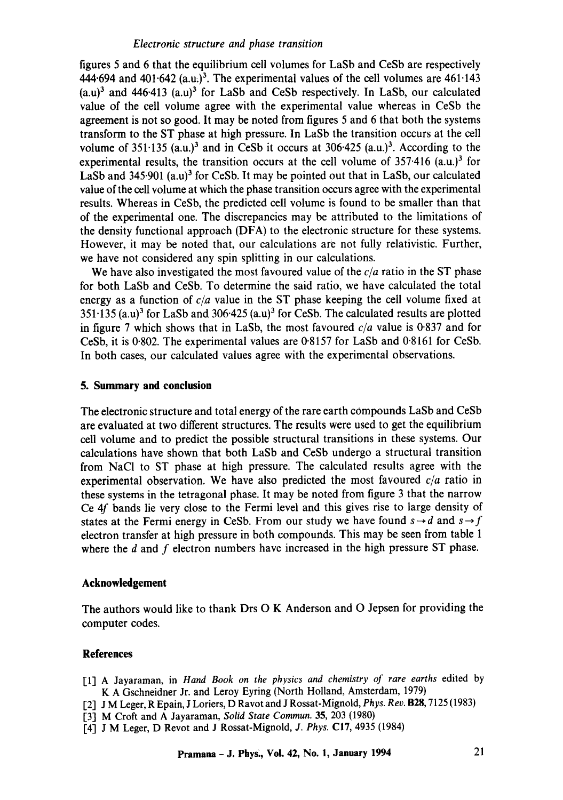## *Electronic structure and phase transition*

figures 5 and 6 that the equilibrium cell volumes for LaSb and CeSb are respectively 444.694 and 401.642 (a.u.)<sup>3</sup>. The experimental values of the cell volumes are  $461.143$  $(a.u)<sup>3</sup>$  and 446.413  $(a.u)<sup>3</sup>$  for LaSb and CeSb respectively. In LaSb, our calculated value of the cell volume agree with the experimental value whereas in CeSb the agreement is not so good. It may be noted from figures 5 and 6 that both the systems transform to the ST phase at high pressure. In LaSb the transition occurs at the cell volume of  $351.135$  (a.u.)<sup>3</sup> and in CeSb it occurs at  $306.425$  (a.u.)<sup>3</sup>. According to the experimental results, the transition occurs at the cell volume of  $357.416$  (a.u.)<sup>3</sup> for LaSb and  $345.901$  (a.u)<sup>3</sup> for CeSb. It may be pointed out that in LaSb, our calculated value of the cell volume at which the phase transition occurs agree with the experimental results. Whereas in CeSb, the predicted cell volume is found to be smaller than that of the experimental one. The discrepancies may be attributed to the limitations of the density functional approach (DFA) to the electronic structure for these systems. However, it may be noted that, our calculations are not fully relativistic. Further, we have not considered any spin splitting in our calculations.

We have also investigated the most favoured value of the *c/a* ratio in the ST phase for both LaSb and CeSb. To determine the said ratio, we have calculated the total energy as a function of  $c/a$  value in the ST phase keeping the cell volume fixed at  $351.135$  (a.u)<sup>3</sup> for LaSb and  $306.425$  (a.u)<sup>3</sup> for CeSb. The calculated results are plotted in figure 7 which shows that in LaSb, the most favoured *c/a* value is 0.837 and for CeSb, it is 0"802. The experimental values are 0.8157 for LaSb and 0"8161 for CeSb. In both cases, our calculated values agree with the experimental observations.

## **5. Summary and conclusion**

The electronic structure and total energy of the rare earth compounds LaSb and CeSb are evaluated at two different structures. The results were used to get the equilibrium cell volume and to predict the possible structural transitions in these systems. Our calculations have shown that both LaSb and CeSb undergo a structural transition from NaCl to ST phase at high pressure. The calculated results agree with the experimental observation. We have also predicted the most favoured *c/a* ratio in these systems in the tetragonal phase. It may be noted from figure 3 that the narrow Ce 4f bands lie very close to the Fermi level and this gives rise to large density of states at the Fermi energy in CeSb. From our study we have found  $s \rightarrow d$  and  $s \rightarrow f$ electron transfer at high pressure in both compounds. This may be seen from table I where the  $d$  and  $f$  electron numbers have increased in the high pressure ST phase.

## **Acknowledgement**

The authors would like to thank Drs O K Anderson and O Jepsen for providing the computer codes.

## **References**

- [1] A Jayaraman, in *Hand Book on the physics and chemistry of rare earths* edited by K A Gschneidner Jr. and Leroy Eyring (North Holland, Amsterdam, 1979)
- [2] J M Leger, R Epain, J Loriers, D Ravot and J Rossat-Mignold, *Phys. Rev.* B28, 7125 (1983)
- [3] M Croft and A Jayaraman, *Solid State Commun.* 35, 203 (1980)
- [4] J M Leger, D Revot and J Rossat-Mignold, *J. Phys.* C17, 4935 (1984)